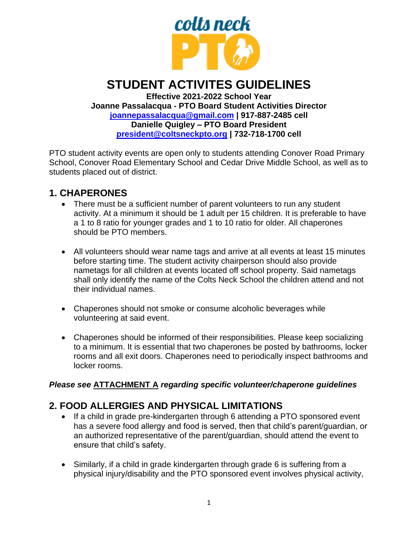

# **STUDENT ACTIVITES GUIDELINES**

**Effective 2021-2022 School Year Joanne Passalacqua - PTO Board Student Activities Director [joannepassalacqua@gmail.com](mailto:joannepassalacqua@gmail.com) | 917-887-2485 cell Danielle Quigley – PTO Board President [president@coltsneckpto.org](mailto:president@coltsneckpto.org) | 732-718-1700 cell**

PTO student activity events are open only to students attending Conover Road Primary School, Conover Road Elementary School and Cedar Drive Middle School, as well as to students placed out of district.

### **1. CHAPERONES**

- There must be a sufficient number of parent volunteers to run any student activity. At a minimum it should be 1 adult per 15 children. It is preferable to have a 1 to 8 ratio for younger grades and 1 to 10 ratio for older. All chaperones should be PTO members.
- All volunteers should wear name tags and arrive at all events at least 15 minutes before starting time. The student activity chairperson should also provide nametags for all children at events located off school property. Said nametags shall only identify the name of the Colts Neck School the children attend and not their individual names.
- Chaperones should not smoke or consume alcoholic beverages while volunteering at said event.
- Chaperones should be informed of their responsibilities. Please keep socializing to a minimum. It is essential that two chaperones be posted by bathrooms, locker rooms and all exit doors. Chaperones need to periodically inspect bathrooms and locker rooms.

#### *Please see* **ATTACHMENT A** *regarding specific volunteer/chaperone guidelines*

## **2. FOOD ALLERGIES AND PHYSICAL LIMITATIONS**

- If a child in grade pre-kindergarten through 6 attending a PTO sponsored event has a severe food allergy and food is served, then that child's parent/guardian, or an authorized representative of the parent/guardian, should attend the event to ensure that child's safety.
- Similarly, if a child in grade kindergarten through grade 6 is suffering from a physical injury/disability and the PTO sponsored event involves physical activity,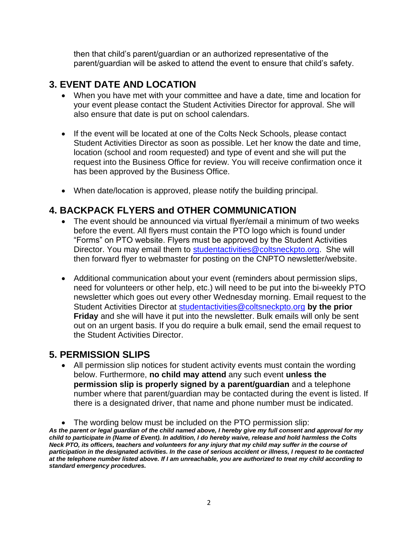then that child's parent/guardian or an authorized representative of the parent/guardian will be asked to attend the event to ensure that child's safety.

## **3. EVENT DATE AND LOCATION**

- When you have met with your committee and have a date, time and location for your event please contact the Student Activities Director for approval. She will also ensure that date is put on school calendars.
- If the event will be located at one of the Colts Neck Schools, please contact Student Activities Director as soon as possible. Let her know the date and time, location (school and room requested) and type of event and she will put the request into the Business Office for review. You will receive confirmation once it has been approved by the Business Office.
- When date/location is approved, please notify the building principal.

### **4. BACKPACK FLYERS and OTHER COMMUNICATION**

- The event should be announced via virtual flyer/email a minimum of two weeks before the event. All flyers must contain the PTO logo which is found under "Forms" on PTO website. Flyers must be approved by the Student Activities Director. You may email them to [studentactivities@coltsneckpto.org.](mailto:studentactivities@coltsneckpto.org) She will then forward flyer to webmaster for posting on the CNPTO newsletter/website.
- Additional communication about your event (reminders about permission slips, need for volunteers or other help, etc.) will need to be put into the bi-weekly PTO newsletter which goes out every other Wednesday morning. Email request to the Student Activities Director at [studentactivities@coltsneckpto.org](mailto:studentactivities@coltsneckpto.org) **by the prior Friday** and she will have it put into the newsletter. Bulk emails will only be sent out on an urgent basis. If you do require a bulk email, send the email request to the Student Activities Director.

#### **5. PERMISSION SLIPS**

• All permission slip notices for student activity events must contain the wording below. Furthermore, **no child may attend** any such event **unless the permission slip is properly signed by a parent/guardian** and a telephone number where that parent/guardian may be contacted during the event is listed. If there is a designated driver, that name and phone number must be indicated.

<sup>•</sup> The wording below must be included on the PTO permission slip:

*As the parent or legal guardian of the child named above, I hereby give my full consent and approval for my child to participate in (Name of Event). In addition, I do hereby waive, release and hold harmless the Colts Neck PTO, its officers, teachers and volunteers for any injury that my child may suffer in the course of participation in the designated activities. In the case of serious accident or illness, I request to be contacted at the telephone number listed above. If I am unreachable, you are authorized to treat my child according to standard emergency procedures.*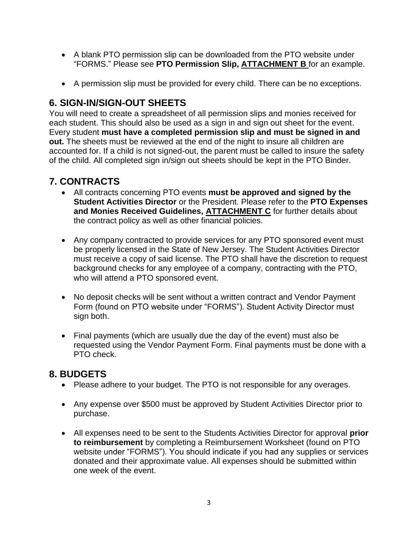- A blank PTO permission slip can be downloaded from the PTO website under "FORMS." Please see **PTO Permission Slip, ATTACHMENT B** for an example.
- A permission slip must be provided for every child. There can be no exceptions.

## **6. SIGN-IN/SIGN-OUT SHEETS**

You will need to create a spreadsheet of all permission slips and monies received for each student. This should also be used as a sign in and sign out sheet for the event. Every student **must have a completed permission slip and must be signed in and out.** The sheets must be reviewed at the end of the night to insure all children are accounted for. If a child is not signed-out, the parent must be called to insure the safety of the child. All completed sign in/sign out sheets should be kept in the PTO Binder.

# **7. CONTRACTS**

- All contracts concerning PTO events **must be approved and signed by the Student Activities Director** or the President. Please refer to the **PTO Expenses and Monies Received Guidelines, ATTACHMENT C** for further details about the contract policy as well as other financial policies.
- Any company contracted to provide services for any PTO sponsored event must be properly licensed in the State of New Jersey. The Student Activities Director must receive a copy of said license. The PTO shall have the discretion to request background checks for any employee of a company, contracting with the PTO, who will attend a PTO sponsored event.
- No deposit checks will be sent without a written contract and Vendor Payment Form (found on PTO website under "FORMS"). Student Activity Director must sign both.
- Final payments (which are usually due the day of the event) must also be requested using the Vendor Payment Form. Final payments must be done with a PTO check.

### **8. BUDGETS**

- Please adhere to your budget. The PTO is not responsible for any overages.
- Any expense over \$500 must be approved by Student Activities Director prior to purchase.
- All expenses need to be sent to the Students Activities Director for approval **prior to reimbursement** by completing a Reimbursement Worksheet (found on PTO website under "FORMS"). You should indicate if you had any supplies or services donated and their approximate value. All expenses should be submitted within one week of the event.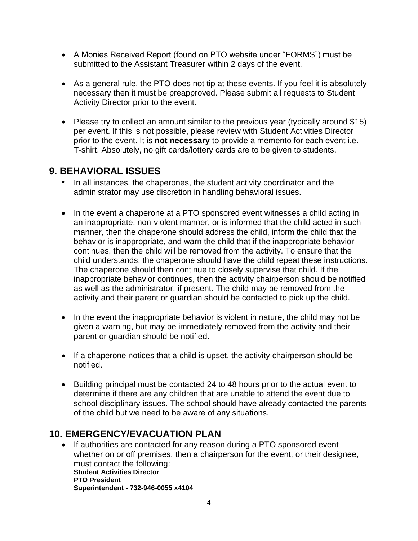- A Monies Received Report (found on PTO website under "FORMS") must be submitted to the Assistant Treasurer within 2 days of the event.
- As a general rule, the PTO does not tip at these events. If you feel it is absolutely necessary then it must be preapproved. Please submit all requests to Student Activity Director prior to the event.
- Please try to collect an amount similar to the previous year (typically around \$15) per event. If this is not possible, please review with Student Activities Director prior to the event. It is **not necessary** to provide a memento for each event i.e. T-shirt. Absolutely, no gift cards/lottery cards are to be given to students.

### **9. BEHAVIORAL ISSUES**

- In all instances, the chaperones, the student activity coordinator and the administrator may use discretion in handling behavioral issues.
- In the event a chaperone at a PTO sponsored event witnesses a child acting in an inappropriate, non-violent manner, or is informed that the child acted in such manner, then the chaperone should address the child, inform the child that the behavior is inappropriate, and warn the child that if the inappropriate behavior continues, then the child will be removed from the activity. To ensure that the child understands, the chaperone should have the child repeat these instructions. The chaperone should then continue to closely supervise that child. If the inappropriate behavior continues, then the activity chairperson should be notified as well as the administrator, if present. The child may be removed from the activity and their parent or guardian should be contacted to pick up the child.
- In the event the inappropriate behavior is violent in nature, the child may not be given a warning, but may be immediately removed from the activity and their parent or guardian should be notified.
- If a chaperone notices that a child is upset, the activity chairperson should be notified.
- Building principal must be contacted 24 to 48 hours prior to the actual event to determine if there are any children that are unable to attend the event due to school disciplinary issues. The school should have already contacted the parents of the child but we need to be aware of any situations.

### **10. EMERGENCY/EVACUATION PLAN**

• If authorities are contacted for any reason during a PTO sponsored event whether on or off premises, then a chairperson for the event, or their designee, must contact the following: **Student Activities Director PTO President Superintendent - 732-946-0055 x4104**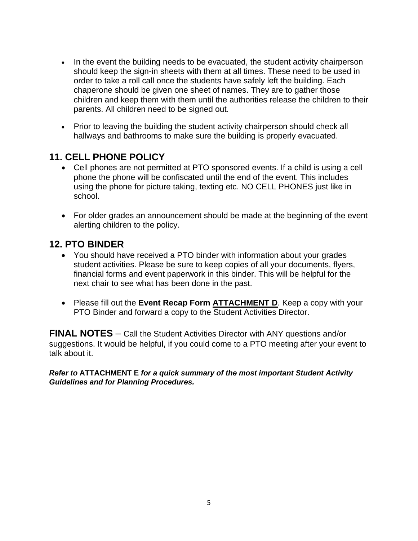- In the event the building needs to be evacuated, the student activity chairperson should keep the sign-in sheets with them at all times. These need to be used in order to take a roll call once the students have safely left the building. Each chaperone should be given one sheet of names. They are to gather those children and keep them with them until the authorities release the children to their parents. All children need to be signed out.
- Prior to leaving the building the student activity chairperson should check all hallways and bathrooms to make sure the building is properly evacuated.

## **11. CELL PHONE POLICY**

- Cell phones are not permitted at PTO sponsored events. If a child is using a cell phone the phone will be confiscated until the end of the event. This includes using the phone for picture taking, texting etc. NO CELL PHONES just like in school.
- For older grades an announcement should be made at the beginning of the event alerting children to the policy.

### **12. PTO BINDER**

- You should have received a PTO binder with information about your grades student activities. Please be sure to keep copies of all your documents, flyers, financial forms and event paperwork in this binder. This will be helpful for the next chair to see what has been done in the past.
- Please fill out the **Event Recap Form ATTACHMENT D**. Keep a copy with your PTO Binder and forward a copy to the Student Activities Director.

**FINAL NOTES** – Call the Student Activities Director with ANY questions and/or suggestions. It would be helpful, if you could come to a PTO meeting after your event to talk about it.

*Refer to* **ATTACHMENT E** *for a quick summary of the most important Student Activity Guidelines and for Planning Procedures.*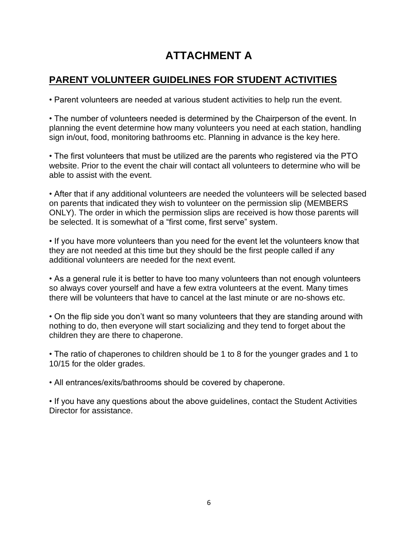# **ATTACHMENT A**

# **PARENT VOLUNTEER GUIDELINES FOR STUDENT ACTIVITIES**

• Parent volunteers are needed at various student activities to help run the event.

• The number of volunteers needed is determined by the Chairperson of the event. In planning the event determine how many volunteers you need at each station, handling sign in/out, food, monitoring bathrooms etc. Planning in advance is the key here.

• The first volunteers that must be utilized are the parents who registered via the PTO website. Prior to the event the chair will contact all volunteers to determine who will be able to assist with the event.

• After that if any additional volunteers are needed the volunteers will be selected based on parents that indicated they wish to volunteer on the permission slip (MEMBERS ONLY). The order in which the permission slips are received is how those parents will be selected. It is somewhat of a "first come, first serve" system.

• If you have more volunteers than you need for the event let the volunteers know that they are not needed at this time but they should be the first people called if any additional volunteers are needed for the next event.

• As a general rule it is better to have too many volunteers than not enough volunteers so always cover yourself and have a few extra volunteers at the event. Many times there will be volunteers that have to cancel at the last minute or are no-shows etc.

• On the flip side you don't want so many volunteers that they are standing around with nothing to do, then everyone will start socializing and they tend to forget about the children they are there to chaperone.

• The ratio of chaperones to children should be 1 to 8 for the younger grades and 1 to 10/15 for the older grades.

• All entrances/exits/bathrooms should be covered by chaperone.

• If you have any questions about the above guidelines, contact the Student Activities Director for assistance.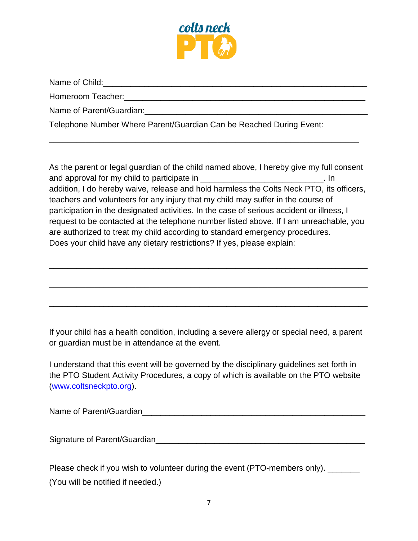

Name of Child:  $\Box$ 

Homeroom Teacher:\_\_\_\_\_\_\_\_\_\_\_\_\_\_\_\_\_\_\_\_\_\_\_\_\_\_\_\_\_\_\_\_\_\_\_\_\_\_\_\_\_\_\_\_\_\_\_\_\_\_\_\_\_

Name of Parent/Guardian:  $\Box$ 

Telephone Number Where Parent/Guardian Can be Reached During Event:

As the parent or legal guardian of the child named above, I hereby give my full consent and approval for my child to participate in  $\blacksquare$ addition, I do hereby waive, release and hold harmless the Colts Neck PTO, its officers, teachers and volunteers for any injury that my child may suffer in the course of participation in the designated activities. In the case of serious accident or illness, I request to be contacted at the telephone number listed above. If I am unreachable, you are authorized to treat my child according to standard emergency procedures. Does your child have any dietary restrictions? If yes, please explain:

\_\_\_\_\_\_\_\_\_\_\_\_\_\_\_\_\_\_\_\_\_\_\_\_\_\_\_\_\_\_\_\_\_\_\_\_\_\_\_\_\_\_\_\_\_\_\_\_\_\_\_\_\_\_\_\_\_\_\_\_\_\_\_\_\_\_\_\_\_\_

\_\_\_\_\_\_\_\_\_\_\_\_\_\_\_\_\_\_\_\_\_\_\_\_\_\_\_\_\_\_\_\_\_\_\_\_\_\_\_\_\_\_\_\_\_\_\_\_\_\_\_\_\_\_\_\_\_\_\_\_\_\_\_\_\_\_\_\_\_\_

\_\_\_\_\_\_\_\_\_\_\_\_\_\_\_\_\_\_\_\_\_\_\_\_\_\_\_\_\_\_\_\_\_\_\_\_\_\_\_\_\_\_\_\_\_\_\_\_\_\_\_\_\_\_\_\_\_\_\_\_\_\_\_\_\_\_\_\_\_\_

\_\_\_\_\_\_\_\_\_\_\_\_\_\_\_\_\_\_\_\_\_\_\_\_\_\_\_\_\_\_\_\_\_\_\_\_\_\_\_\_\_\_\_\_\_\_\_\_\_\_\_\_\_\_\_\_\_\_\_\_\_\_\_\_\_\_\_\_

If your child has a health condition, including a severe allergy or special need, a parent or guardian must be in attendance at the event.

I understand that this event will be governed by the disciplinary guidelines set forth in the PTO Student Activity Procedures, a copy of which is available on the PTO website (www.coltsneckpto.org).

Name of Parent/Guardian

Signature of Parent/Guardian\_\_\_\_\_\_\_\_\_\_\_\_\_\_\_\_\_\_\_\_\_\_\_\_\_\_\_\_\_\_\_\_\_\_\_\_\_\_\_\_\_\_\_\_\_\_

Please check if you wish to volunteer during the event (PTO-members only). \_\_\_\_\_\_ (You will be notified if needed.)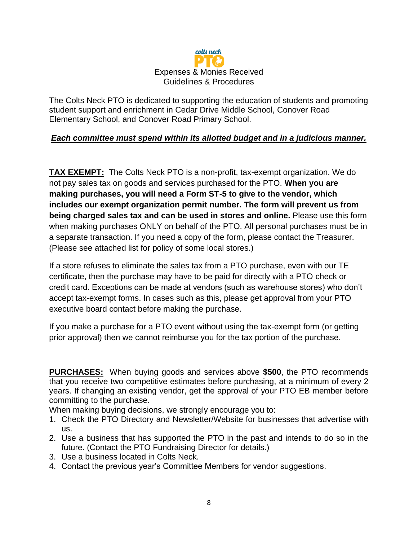

The Colts Neck PTO is dedicated to supporting the education of students and promoting student support and enrichment in Cedar Drive Middle School, Conover Road Elementary School, and Conover Road Primary School.

#### *Each committee must spend within its allotted budget and in a judicious manner.*

**TAX EXEMPT:** The Colts Neck PTO is a non-profit, tax-exempt organization. We do not pay sales tax on goods and services purchased for the PTO. **When you are making purchases, you will need a Form ST-5 to give to the vendor, which includes our exempt organization permit number. The form will prevent us from being charged sales tax and can be used in stores and online.** Please use this form when making purchases ONLY on behalf of the PTO. All personal purchases must be in a separate transaction. If you need a copy of the form, please contact the Treasurer. (Please see attached list for policy of some local stores.)

If a store refuses to eliminate the sales tax from a PTO purchase, even with our TE certificate, then the purchase may have to be paid for directly with a PTO check or credit card. Exceptions can be made at vendors (such as warehouse stores) who don't accept tax-exempt forms. In cases such as this, please get approval from your PTO executive board contact before making the purchase.

If you make a purchase for a PTO event without using the tax-exempt form (or getting prior approval) then we cannot reimburse you for the tax portion of the purchase.

**PURCHASES:** When buying goods and services above **\$500**, the PTO recommends that you receive two competitive estimates before purchasing, at a minimum of every 2 years. If changing an existing vendor, get the approval of your PTO EB member before committing to the purchase.

When making buying decisions, we strongly encourage you to:

- 1. Check the PTO Directory and Newsletter/Website for businesses that advertise with us.
- 2. Use a business that has supported the PTO in the past and intends to do so in the future. (Contact the PTO Fundraising Director for details.)
- 3. Use a business located in Colts Neck.
- 4. Contact the previous year's Committee Members for vendor suggestions.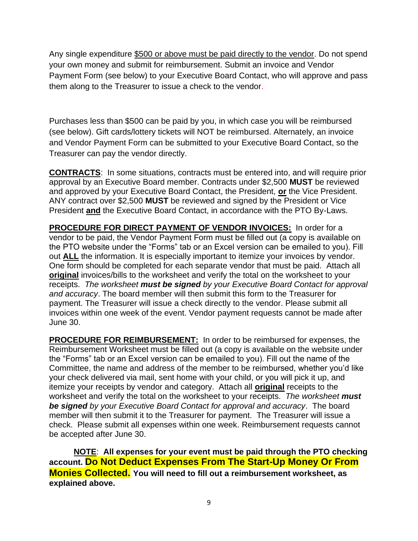Any single expenditure \$500 or above must be paid directly to the vendor. Do not spend your own money and submit for reimbursement. Submit an invoice and Vendor Payment Form (see below) to your Executive Board Contact, who will approve and pass them along to the Treasurer to issue a check to the vendor.

Purchases less than \$500 can be paid by you, in which case you will be reimbursed (see below). Gift cards/lottery tickets will NOT be reimbursed. Alternately, an invoice and Vendor Payment Form can be submitted to your Executive Board Contact, so the Treasurer can pay the vendor directly.

**CONTRACTS**: In some situations, contracts must be entered into, and will require prior approval by an Executive Board member. Contracts under \$2,500 **MUST** be reviewed and approved by your Executive Board Contact, the President, **or** the Vice President. ANY contract over \$2,500 **MUST** be reviewed and signed by the President or Vice President **and** the Executive Board Contact, in accordance with the PTO By-Laws.

**PROCEDURE FOR DIRECT PAYMENT OF VENDOR INVOICES:** In order for a vendor to be paid, the Vendor Payment Form must be filled out (a copy is available on the PTO website under the "Forms" tab or an Excel version can be emailed to you). Fill out **ALL** the information. It is especially important to itemize your invoices by vendor. One form should be completed for each separate vendor that must be paid. Attach all **original** invoices/bills to the worksheet and verify the total on the worksheet to your receipts. *The worksheet must be signed by your Executive Board Contact for approval and accuracy*. The board member will then submit this form to the Treasurer for payment. The Treasurer will issue a check directly to the vendor. Please submit all invoices within one week of the event. Vendor payment requests cannot be made after June 30.

**PROCEDURE FOR REIMBURSEMENT:** In order to be reimbursed for expenses, the Reimbursement Worksheet must be filled out (a copy is available on the website under the "Forms" tab or an Excel version can be emailed to you). Fill out the name of the Committee, the name and address of the member to be reimbursed, whether you'd like your check delivered via mail, sent home with your child, or you will pick it up, and itemize your receipts by vendor and category. Attach all **original** receipts to the worksheet and verify the total on the worksheet to your receipts. *The worksheet must be signed by your Executive Board Contact for approval and accuracy*. The board member will then submit it to the Treasurer for payment. The Treasurer will issue a check. Please submit all expenses within one week. Reimbursement requests cannot be accepted after June 30.

**NOTE**: **All expenses for your event must be paid through the PTO checking account. Do Not Deduct Expenses From The Start-Up Money Or From Monies Collected. You will need to fill out a reimbursement worksheet, as explained above.**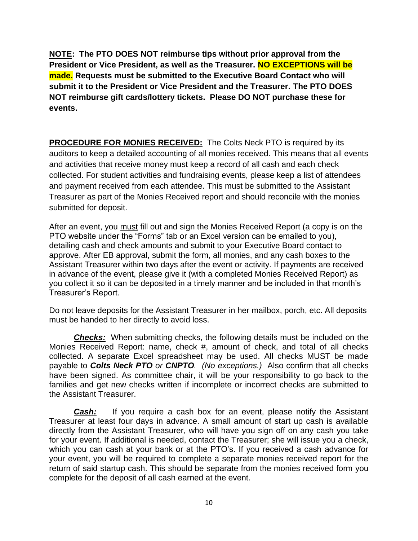**NOTE: The PTO DOES NOT reimburse tips without prior approval from the President or Vice President, as well as the Treasurer. NO EXCEPTIONS will be made. Requests must be submitted to the Executive Board Contact who will submit it to the President or Vice President and the Treasurer. The PTO DOES NOT reimburse gift cards/lottery tickets. Please DO NOT purchase these for events.**

**PROCEDURE FOR MONIES RECEIVED:** The Colts Neck PTO is required by its auditors to keep a detailed accounting of all monies received. This means that all events and activities that receive money must keep a record of all cash and each check collected. For student activities and fundraising events, please keep a list of attendees and payment received from each attendee. This must be submitted to the Assistant Treasurer as part of the Monies Received report and should reconcile with the monies submitted for deposit.

After an event, you must fill out and sign the Monies Received Report (a copy is on the PTO website under the "Forms" tab or an Excel version can be emailed to you), detailing cash and check amounts and submit to your Executive Board contact to approve. After EB approval, submit the form, all monies, and any cash boxes to the Assistant Treasurer within two days after the event or activity. If payments are received in advance of the event, please give it (with a completed Monies Received Report) as you collect it so it can be deposited in a timely manner and be included in that month's Treasurer's Report.

Do not leave deposits for the Assistant Treasurer in her mailbox, porch, etc. All deposits must be handed to her directly to avoid loss.

*Checks:* When submitting checks, the following details must be included on the Monies Received Report: name, check #, amount of check, and total of all checks collected. A separate Excel spreadsheet may be used. All checks MUST be made payable to *Colts Neck PTO or CNPTO. (No exceptions.)* Also confirm that all checks have been signed. As committee chair, it will be your responsibility to go back to the families and get new checks written if incomplete or incorrect checks are submitted to the Assistant Treasurer.

**Cash:** If you require a cash box for an event, please notify the Assistant Treasurer at least four days in advance. A small amount of start up cash is available directly from the Assistant Treasurer, who will have you sign off on any cash you take for your event. If additional is needed, contact the Treasurer; she will issue you a check, which you can cash at your bank or at the PTO's. If you received a cash advance for your event, you will be required to complete a separate monies received report for the return of said startup cash. This should be separate from the monies received form you complete for the deposit of all cash earned at the event.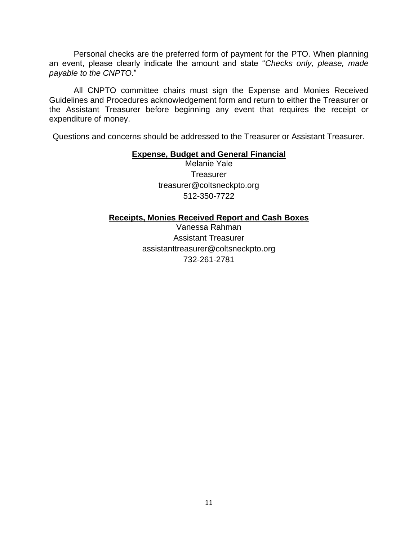Personal checks are the preferred form of payment for the PTO. When planning an event, please clearly indicate the amount and state "*Checks only, please, made payable to the CNPTO*."

All CNPTO committee chairs must sign the Expense and Monies Received Guidelines and Procedures acknowledgement form and return to either the Treasurer or the Assistant Treasurer before beginning any event that requires the receipt or expenditure of money.

Questions and concerns should be addressed to the Treasurer or Assistant Treasurer.

#### **Expense, Budget and General Financial**

Melanie Yale **Treasurer** treasurer@coltsneckpto.org 512-350-7722

#### **Receipts, Monies Received Report and Cash Boxes**

Vanessa Rahman Assistant Treasurer assistanttreasurer@coltsneckpto.org 732-261-2781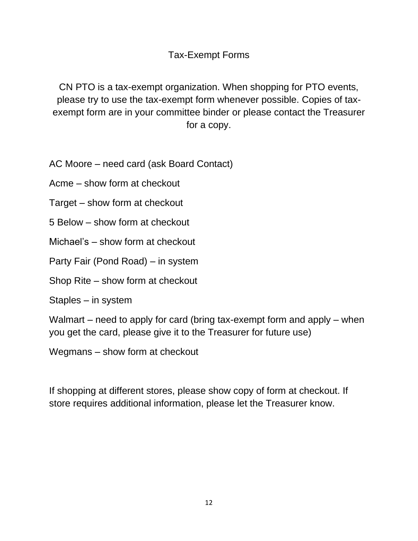Tax-Exempt Forms

CN PTO is a tax-exempt organization. When shopping for PTO events, please try to use the tax-exempt form whenever possible. Copies of taxexempt form are in your committee binder or please contact the Treasurer for a copy.

AC Moore – need card (ask Board Contact)

Acme – show form at checkout

Target – show form at checkout

5 Below – show form at checkout

Michael's – show form at checkout

Party Fair (Pond Road) – in system

Shop Rite – show form at checkout

Staples – in system

Walmart – need to apply for card (bring tax-exempt form and apply – when you get the card, please give it to the Treasurer for future use)

Wegmans – show form at checkout

If shopping at different stores, please show copy of form at checkout. If store requires additional information, please let the Treasurer know.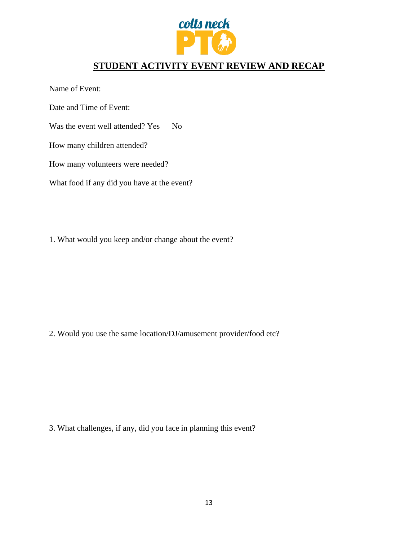

# **STUDENT ACTIVITY EVENT REVIEW AND RECAP**

Name of Event:

Date and Time of Event:

Was the event well attended? Yes No

How many children attended?

How many volunteers were needed?

What food if any did you have at the event?

1. What would you keep and/or change about the event?

2. Would you use the same location/DJ/amusement provider/food etc?

3. What challenges, if any, did you face in planning this event?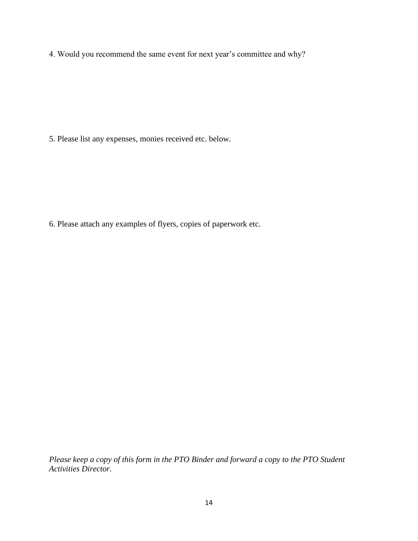4. Would you recommend the same event for next year's committee and why?

5. Please list any expenses, monies received etc. below.

6. Please attach any examples of flyers, copies of paperwork etc.

*Please keep a copy of this form in the PTO Binder and forward a copy to the PTO Student Activities Director.*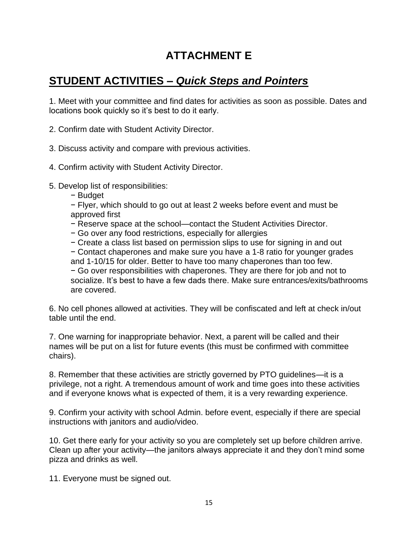# **ATTACHMENT E**

# **STUDENT ACTIVITIES –** *Quick Steps and Pointers*

1. Meet with your committee and find dates for activities as soon as possible. Dates and locations book quickly so it's best to do it early.

2. Confirm date with Student Activity Director.

3. Discuss activity and compare with previous activities.

4. Confirm activity with Student Activity Director.

5. Develop list of responsibilities:

− Budget

− Flyer, which should to go out at least 2 weeks before event and must be approved first

- − Reserve space at the school—contact the Student Activities Director.
- − Go over any food restrictions, especially for allergies

− Create a class list based on permission slips to use for signing in and out

− Contact chaperones and make sure you have a 1-8 ratio for younger grades and 1-10/15 for older. Better to have too many chaperones than too few. − Go over responsibilities with chaperones. They are there for job and not to socialize. It's best to have a few dads there. Make sure entrances/exits/bathrooms are covered.

6. No cell phones allowed at activities. They will be confiscated and left at check in/out table until the end.

7. One warning for inappropriate behavior. Next, a parent will be called and their names will be put on a list for future events (this must be confirmed with committee chairs).

8. Remember that these activities are strictly governed by PTO guidelines—it is a privilege, not a right. A tremendous amount of work and time goes into these activities and if everyone knows what is expected of them, it is a very rewarding experience.

9. Confirm your activity with school Admin. before event, especially if there are special instructions with janitors and audio/video.

10. Get there early for your activity so you are completely set up before children arrive. Clean up after your activity—the janitors always appreciate it and they don't mind some pizza and drinks as well.

11. Everyone must be signed out.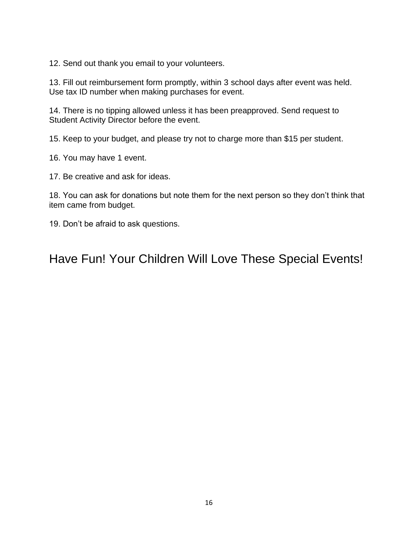12. Send out thank you email to your volunteers.

13. Fill out reimbursement form promptly, within 3 school days after event was held. Use tax ID number when making purchases for event.

14. There is no tipping allowed unless it has been preapproved. Send request to Student Activity Director before the event.

15. Keep to your budget, and please try not to charge more than \$15 per student.

16. You may have 1 event.

17. Be creative and ask for ideas.

18. You can ask for donations but note them for the next person so they don't think that item came from budget.

19. Don't be afraid to ask questions.

Have Fun! Your Children Will Love These Special Events!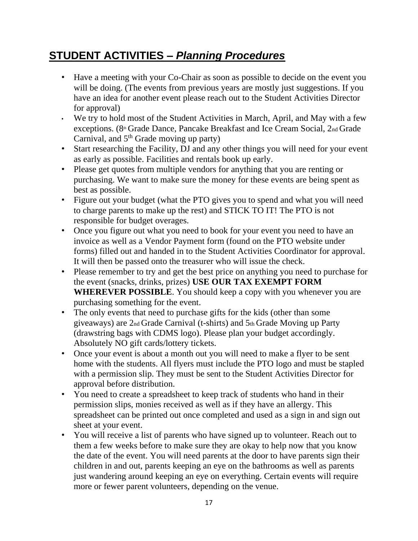# **STUDENT ACTIVITIES –** *Planning Procedures*

- Have a meeting with your Co-Chair as soon as possible to decide on the event you will be doing. (The events from previous years are mostly just suggestions. If you have an idea for another event please reach out to the Student Activities Director for approval)
- We try to hold most of the Student Activities in March, April, and May with a few exceptions. (8<sup>th</sup> Grade Dance, Pancake Breakfast and Ice Cream Social, 2<sup>nd</sup> Grade Carnival, and 5<sup>th</sup> Grade moving up party)
- Start researching the Facility, DJ and any other things you will need for your event as early as possible. Facilities and rentals book up early.
- Please get quotes from multiple vendors for anything that you are renting or purchasing. We want to make sure the money for these events are being spent as best as possible.
- Figure out your budget (what the PTO gives you to spend and what you will need to charge parents to make up the rest) and STICK TO IT! The PTO is not responsible for budget overages.
- Once you figure out what you need to book for your event you need to have an invoice as well as a Vendor Payment form (found on the PTO website under forms) filled out and handed in to the Student Activities Coordinator for approval. It will then be passed onto the treasurer who will issue the check.
- Please remember to try and get the best price on anything you need to purchase for the event (snacks, drinks, prizes) **USE OUR TAX EXEMPT FORM WHEREVER POSSIBLE**. You should keep a copy with you whenever you are purchasing something for the event.
- The only events that need to purchase gifts for the kids (other than some giveaways) are 2nd Grade Carnival (t-shirts) and 5th Grade Moving up Party (drawstring bags with CDMS logo). Please plan your budget accordingly. Absolutely NO gift cards/lottery tickets.
- Once your event is about a month out you will need to make a flyer to be sent home with the students. All flyers must include the PTO logo and must be stapled with a permission slip. They must be sent to the Student Activities Director for approval before distribution.
- You need to create a spreadsheet to keep track of students who hand in their permission slips, monies received as well as if they have an allergy. This spreadsheet can be printed out once completed and used as a sign in and sign out sheet at your event.
- You will receive a list of parents who have signed up to volunteer. Reach out to them a few weeks before to make sure they are okay to help now that you know the date of the event. You will need parents at the door to have parents sign their children in and out, parents keeping an eye on the bathrooms as well as parents just wandering around keeping an eye on everything. Certain events will require more or fewer parent volunteers, depending on the venue.